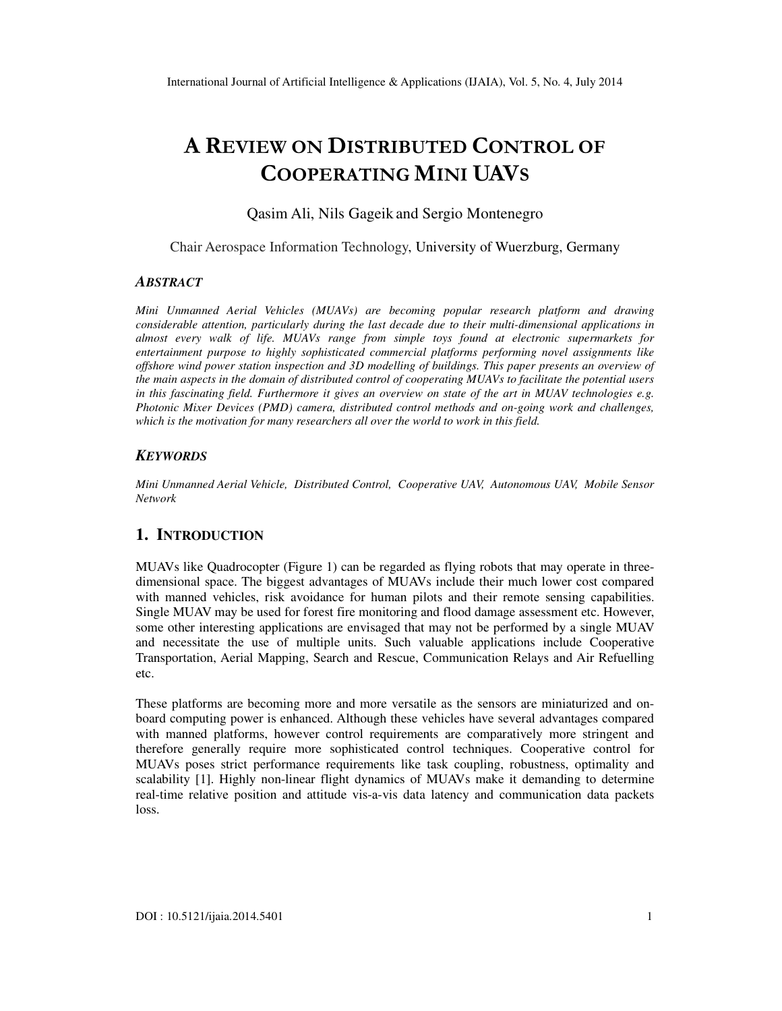# A REVIEW ON DISTRIBUTED CONTROL OF COOPERATING MINI UAVS

Qasim Ali, Nils Gageik and Sergio Montenegro

Chair Aerospace Information Technology, University of Wuerzburg, Germany

#### *ABSTRACT*

*Mini Unmanned Aerial Vehicles (MUAVs) are becoming popular research platform and drawing considerable attention, particularly during the last decade due to their multi-dimensional applications in almost every walk of life. MUAVs range from simple toys found at electronic supermarkets for entertainment purpose to highly sophisticated commercial platforms performing novel assignments like offshore wind power station inspection and 3D modelling of buildings. This paper presents an overview of the main aspects in the domain of distributed control of cooperating MUAVs to facilitate the potential users in this fascinating field. Furthermore it gives an overview on state of the art in MUAV technologies e.g. Photonic Mixer Devices (PMD) camera, distributed control methods and on-going work and challenges, which is the motivation for many researchers all over the world to work in this field.* 

#### *KEYWORDS*

*Mini Unmanned Aerial Vehicle, Distributed Control, Cooperative UAV, Autonomous UAV, Mobile Sensor Network*

## **1. INTRODUCTION**

MUAVs like Quadrocopter (Figure 1) can be regarded as flying robots that may operate in threedimensional space. The biggest advantages of MUAVs include their much lower cost compared with manned vehicles, risk avoidance for human pilots and their remote sensing capabilities. Single MUAV may be used for forest fire monitoring and flood damage assessment etc. However, some other interesting applications are envisaged that may not be performed by a single MUAV and necessitate the use of multiple units. Such valuable applications include Cooperative Transportation, Aerial Mapping, Search and Rescue, Communication Relays and Air Refuelling etc.

These platforms are becoming more and more versatile as the sensors are miniaturized and onboard computing power is enhanced. Although these vehicles have several advantages compared with manned platforms, however control requirements are comparatively more stringent and therefore generally require more sophisticated control techniques. Cooperative control for MUAVs poses strict performance requirements like task coupling, robustness, optimality and scalability [1]. Highly non-linear flight dynamics of MUAVs make it demanding to determine real-time relative position and attitude vis-a-vis data latency and communication data packets loss.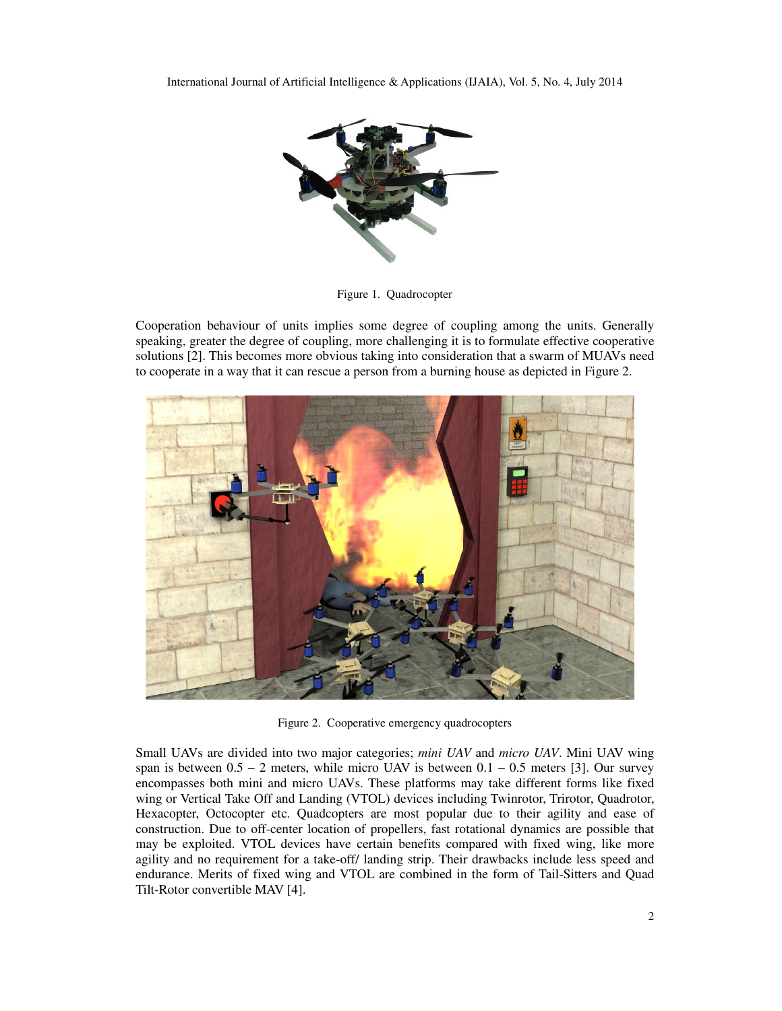

Figure 1. Quadrocopter

Cooperation behaviour of units implies some degree of coupling among the units. Generally speaking, greater the degree of coupling, more challenging it is to formulate effective cooperative solutions [2]. This becomes more obvious taking into consideration that a swarm of MUAVs need to cooperate in a way that it can rescue a person from a burning house as depicted in Figure 2.



Figure 2. Cooperative emergency quadrocopters

Small UAVs are divided into two major categories; *mini UAV* and *micro UAV*. Mini UAV wing span is between  $0.5 - 2$  meters, while micro UAV is between  $0.1 - 0.5$  meters [3]. Our survey encompasses both mini and micro UAVs. These platforms may take different forms like fixed wing or Vertical Take Off and Landing (VTOL) devices including Twinrotor, Trirotor, Quadrotor, Hexacopter, Octocopter etc. Quadcopters are most popular due to their agility and ease of construction. Due to off-center location of propellers, fast rotational dynamics are possible that may be exploited. VTOL devices have certain benefits compared with fixed wing, like more agility and no requirement for a take-off/ landing strip. Their drawbacks include less speed and endurance. Merits of fixed wing and VTOL are combined in the form of Tail-Sitters and Quad Tilt-Rotor convertible MAV [4].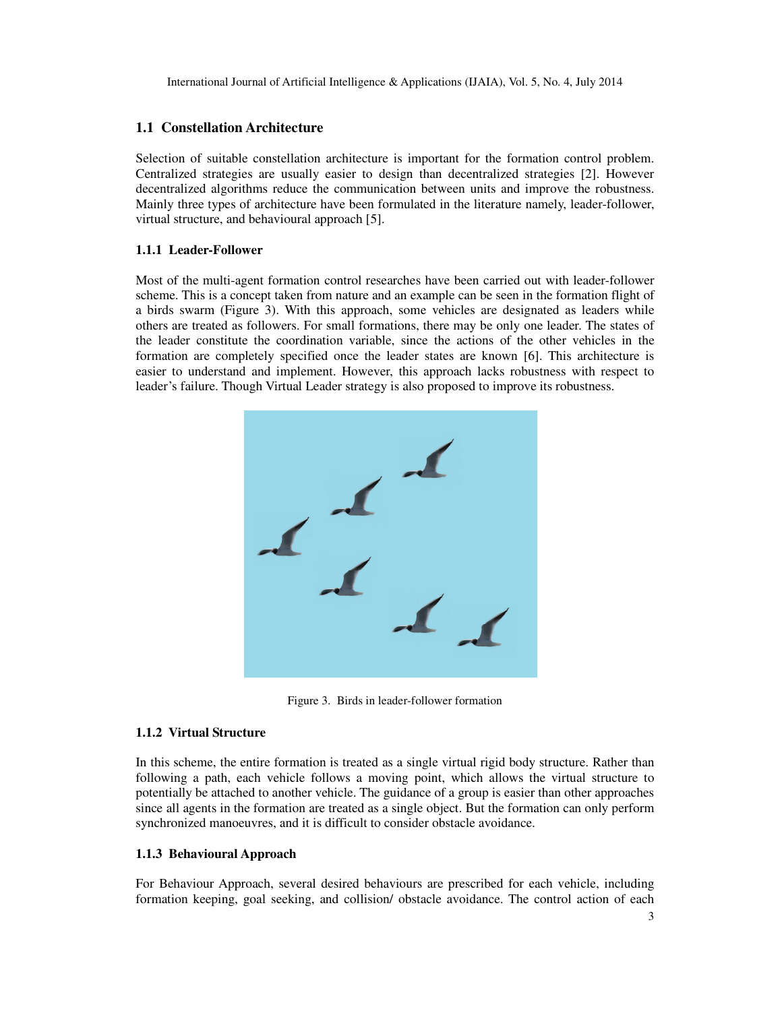## **1.1 Constellation Architecture**

Selection of suitable constellation architecture is important for the formation control problem. Centralized strategies are usually easier to design than decentralized strategies [2]. However decentralized algorithms reduce the communication between units and improve the robustness. Mainly three types of architecture have been formulated in the literature namely, leader-follower, virtual structure, and behavioural approach [5].

#### **1.1.1 Leader-Follower**

Most of the multi-agent formation control researches have been carried out with leader-follower scheme. This is a concept taken from nature and an example can be seen in the formation flight of a birds swarm (Figure 3). With this approach, some vehicles are designated as leaders while others are treated as followers. For small formations, there may be only one leader. The states of the leader constitute the coordination variable, since the actions of the other vehicles in the formation are completely specified once the leader states are known [6]. This architecture is easier to understand and implement. However, this approach lacks robustness with respect to leader's failure. Though Virtual Leader strategy is also proposed to improve its robustness.



Figure 3. Birds in leader-follower formation

## **1.1.2 Virtual Structure**

In this scheme, the entire formation is treated as a single virtual rigid body structure. Rather than following a path, each vehicle follows a moving point, which allows the virtual structure to potentially be attached to another vehicle. The guidance of a group is easier than other approaches since all agents in the formation are treated as a single object. But the formation can only perform synchronized manoeuvres, and it is difficult to consider obstacle avoidance.

## **1.1.3 Behavioural Approach**

For Behaviour Approach, several desired behaviours are prescribed for each vehicle, including formation keeping, goal seeking, and collision/ obstacle avoidance. The control action of each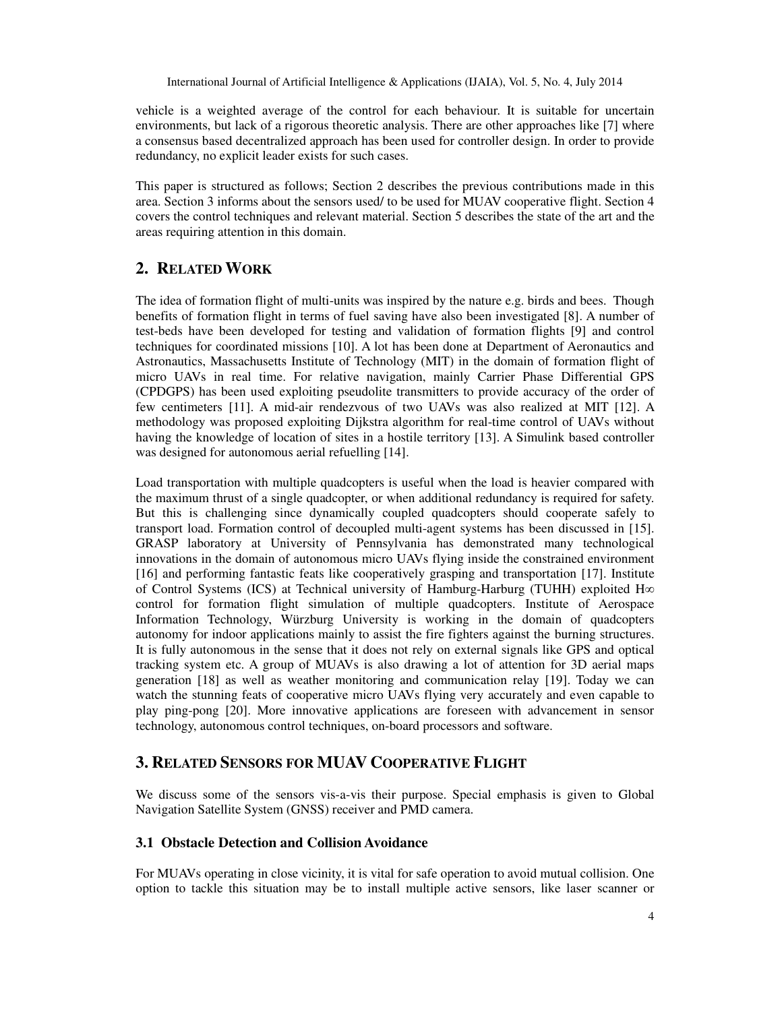vehicle is a weighted average of the control for each behaviour. It is suitable for uncertain environments, but lack of a rigorous theoretic analysis. There are other approaches like [7] where a consensus based decentralized approach has been used for controller design. In order to provide redundancy, no explicit leader exists for such cases.

This paper is structured as follows; Section 2 describes the previous contributions made in this area. Section 3 informs about the sensors used/ to be used for MUAV cooperative flight. Section 4 covers the control techniques and relevant material. Section 5 describes the state of the art and the areas requiring attention in this domain.

## **2. RELATED WORK**

The idea of formation flight of multi-units was inspired by the nature e.g. birds and bees. Though benefits of formation flight in terms of fuel saving have also been investigated [8]. A number of test-beds have been developed for testing and validation of formation flights [9] and control techniques for coordinated missions [10]. A lot has been done at Department of Aeronautics and Astronautics, Massachusetts Institute of Technology (MIT) in the domain of formation flight of micro UAVs in real time. For relative navigation, mainly Carrier Phase Differential GPS (CPDGPS) has been used exploiting pseudolite transmitters to provide accuracy of the order of few centimeters [11]. A mid-air rendezvous of two UAVs was also realized at MIT [12]. A methodology was proposed exploiting Dijkstra algorithm for real-time control of UAVs without having the knowledge of location of sites in a hostile territory [13]. A Simulink based controller was designed for autonomous aerial refuelling [14].

Load transportation with multiple quadcopters is useful when the load is heavier compared with the maximum thrust of a single quadcopter, or when additional redundancy is required for safety. But this is challenging since dynamically coupled quadcopters should cooperate safely to transport load. Formation control of decoupled multi-agent systems has been discussed in [15]. GRASP laboratory at University of Pennsylvania has demonstrated many technological innovations in the domain of autonomous micro UAVs flying inside the constrained environment [16] and performing fantastic feats like cooperatively grasping and transportation [17]. Institute of Control Systems (ICS) at Technical university of Hamburg-Harburg (TUHH) exploited H∞ control for formation flight simulation of multiple quadcopters. Institute of Aerospace Information Technology, Würzburg University is working in the domain of quadcopters autonomy for indoor applications mainly to assist the fire fighters against the burning structures. It is fully autonomous in the sense that it does not rely on external signals like GPS and optical tracking system etc. A group of MUAVs is also drawing a lot of attention for 3D aerial maps generation [18] as well as weather monitoring and communication relay [19]. Today we can watch the stunning feats of cooperative micro UAVs flying very accurately and even capable to play ping-pong [20]. More innovative applications are foreseen with advancement in sensor technology, autonomous control techniques, on-board processors and software.

## **3. RELATED SENSORS FOR MUAV COOPERATIVE FLIGHT**

We discuss some of the sensors vis-a-vis their purpose. Special emphasis is given to Global Navigation Satellite System (GNSS) receiver and PMD camera.

#### **3.1 Obstacle Detection and Collision Avoidance**

For MUAVs operating in close vicinity, it is vital for safe operation to avoid mutual collision. One option to tackle this situation may be to install multiple active sensors, like laser scanner or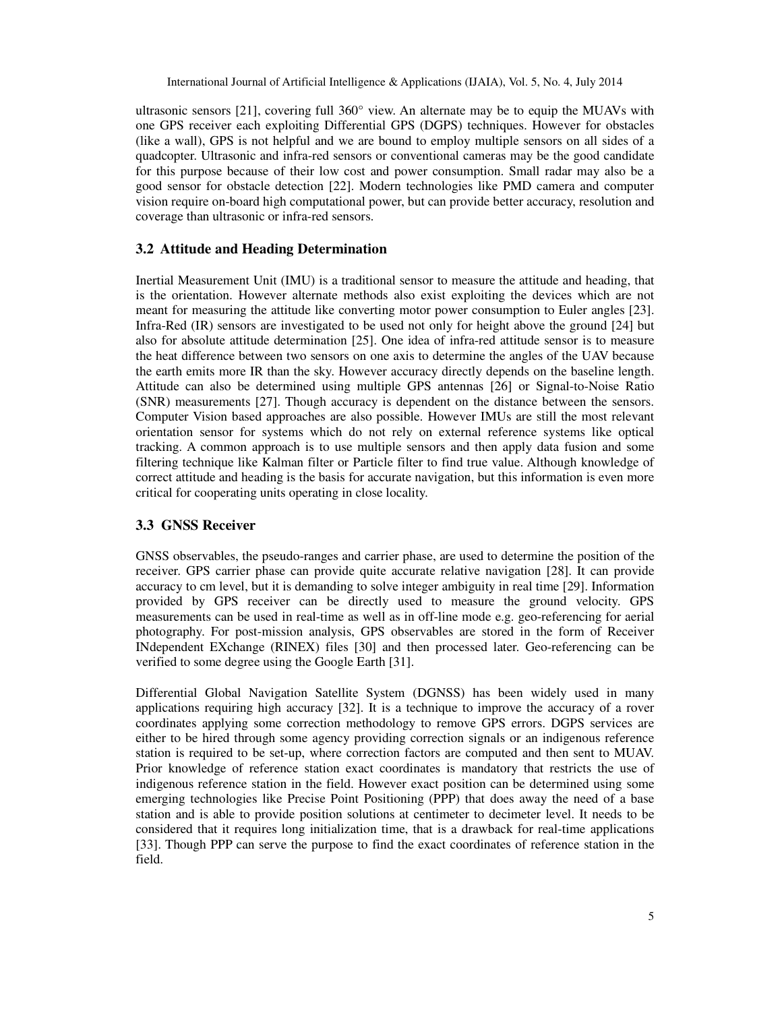ultrasonic sensors [21], covering full 360° view. An alternate may be to equip the MUAVs with one GPS receiver each exploiting Differential GPS (DGPS) techniques. However for obstacles (like a wall), GPS is not helpful and we are bound to employ multiple sensors on all sides of a quadcopter. Ultrasonic and infra-red sensors or conventional cameras may be the good candidate for this purpose because of their low cost and power consumption. Small radar may also be a good sensor for obstacle detection [22]. Modern technologies like PMD camera and computer vision require on-board high computational power, but can provide better accuracy, resolution and coverage than ultrasonic or infra-red sensors.

## **3.2 Attitude and Heading Determination**

Inertial Measurement Unit (IMU) is a traditional sensor to measure the attitude and heading, that is the orientation. However alternate methods also exist exploiting the devices which are not meant for measuring the attitude like converting motor power consumption to Euler angles [23]. Infra-Red (IR) sensors are investigated to be used not only for height above the ground [24] but also for absolute attitude determination [25]. One idea of infra-red attitude sensor is to measure the heat difference between two sensors on one axis to determine the angles of the UAV because the earth emits more IR than the sky. However accuracy directly depends on the baseline length. Attitude can also be determined using multiple GPS antennas [26] or Signal-to-Noise Ratio (SNR) measurements [27]. Though accuracy is dependent on the distance between the sensors. Computer Vision based approaches are also possible. However IMUs are still the most relevant orientation sensor for systems which do not rely on external reference systems like optical tracking. A common approach is to use multiple sensors and then apply data fusion and some filtering technique like Kalman filter or Particle filter to find true value. Although knowledge of correct attitude and heading is the basis for accurate navigation, but this information is even more critical for cooperating units operating in close locality.

#### **3.3 GNSS Receiver**

GNSS observables, the pseudo-ranges and carrier phase, are used to determine the position of the receiver. GPS carrier phase can provide quite accurate relative navigation [28]. It can provide accuracy to cm level, but it is demanding to solve integer ambiguity in real time [29]. Information provided by GPS receiver can be directly used to measure the ground velocity. GPS measurements can be used in real-time as well as in off-line mode e.g. geo-referencing for aerial photography. For post-mission analysis, GPS observables are stored in the form of Receiver INdependent EXchange (RINEX) files [30] and then processed later. Geo-referencing can be verified to some degree using the Google Earth [31].

Differential Global Navigation Satellite System (DGNSS) has been widely used in many applications requiring high accuracy [32]. It is a technique to improve the accuracy of a rover coordinates applying some correction methodology to remove GPS errors. DGPS services are either to be hired through some agency providing correction signals or an indigenous reference station is required to be set-up, where correction factors are computed and then sent to MUAV. Prior knowledge of reference station exact coordinates is mandatory that restricts the use of indigenous reference station in the field. However exact position can be determined using some emerging technologies like Precise Point Positioning (PPP) that does away the need of a base station and is able to provide position solutions at centimeter to decimeter level. It needs to be considered that it requires long initialization time, that is a drawback for real-time applications [33]. Though PPP can serve the purpose to find the exact coordinates of reference station in the field.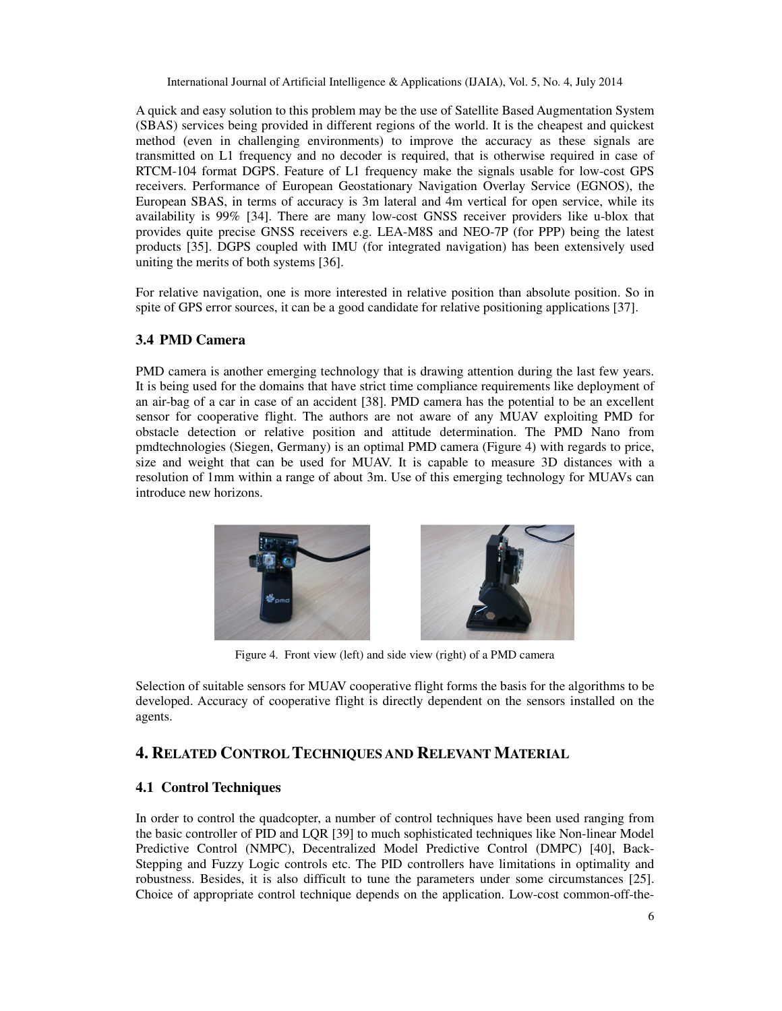A quick and easy solution to this problem may be the use of Satellite Based Augmentation System (SBAS) services being provided in different regions of the world. It is the cheapest and quickest method (even in challenging environments) to improve the accuracy as these signals are transmitted on L1 frequency and no decoder is required, that is otherwise required in case of RTCM-104 format DGPS. Feature of L1 frequency make the signals usable for low-cost GPS receivers. Performance of European Geostationary Navigation Overlay Service (EGNOS), the European SBAS, in terms of accuracy is 3m lateral and 4m vertical for open service, while its availability is 99% [34]. There are many low-cost GNSS receiver providers like u-blox that provides quite precise GNSS receivers e.g. LEA-M8S and NEO-7P (for PPP) being the latest products [35]. DGPS coupled with IMU (for integrated navigation) has been extensively used uniting the merits of both systems [36].

For relative navigation, one is more interested in relative position than absolute position. So in spite of GPS error sources, it can be a good candidate for relative positioning applications [37].

## **3.4 PMD Camera**

PMD camera is another emerging technology that is drawing attention during the last few years. It is being used for the domains that have strict time compliance requirements like deployment of an air-bag of a car in case of an accident [38]. PMD camera has the potential to be an excellent sensor for cooperative flight. The authors are not aware of any MUAV exploiting PMD for obstacle detection or relative position and attitude determination. The PMD Nano from pmdtechnologies (Siegen, Germany) is an optimal PMD camera (Figure 4) with regards to price, size and weight that can be used for MUAV. It is capable to measure 3D distances with a resolution of 1mm within a range of about 3m. Use of this emerging technology for MUAVs can introduce new horizons.



Figure 4. Front view (left) and side view (right) of a PMD camera

Selection of suitable sensors for MUAV cooperative flight forms the basis for the algorithms to be developed. Accuracy of cooperative flight is directly dependent on the sensors installed on the agents.

## **4. RELATED CONTROL TECHNIQUES AND RELEVANT MATERIAL**

## **4.1 Control Techniques**

In order to control the quadcopter, a number of control techniques have been used ranging from the basic controller of PID and LQR [39] to much sophisticated techniques like Non-linear Model Predictive Control (NMPC), Decentralized Model Predictive Control (DMPC) [40], Back-Stepping and Fuzzy Logic controls etc. The PID controllers have limitations in optimality and robustness. Besides, it is also difficult to tune the parameters under some circumstances [25]. Choice of appropriate control technique depends on the application. Low-cost common-off-the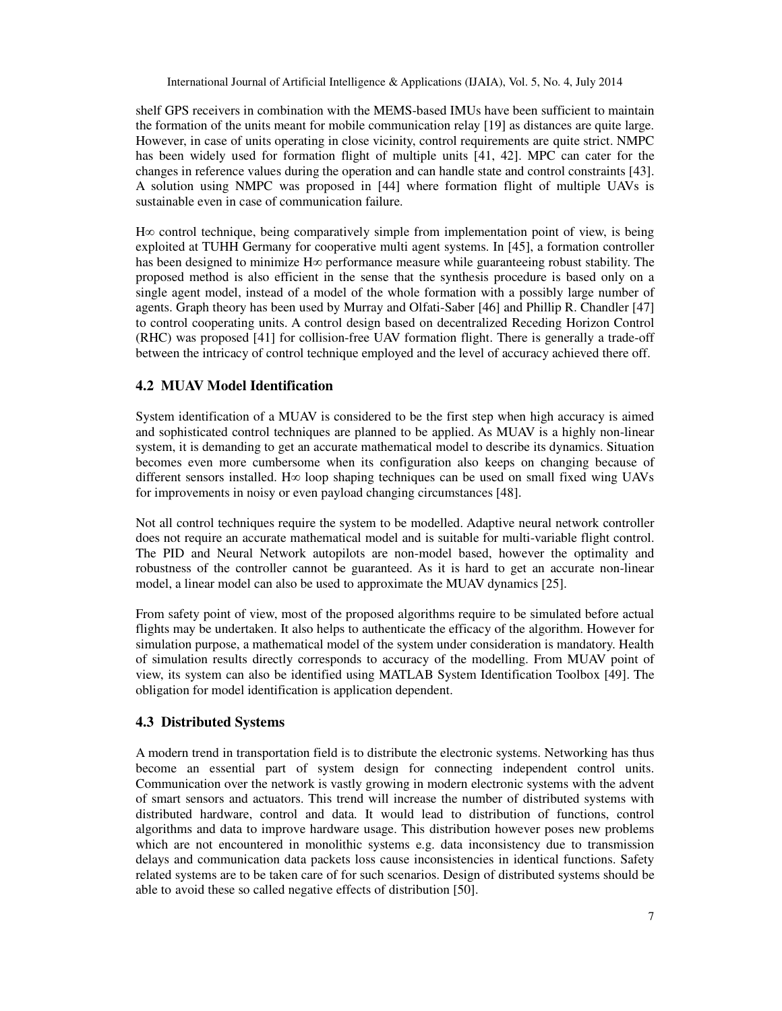shelf GPS receivers in combination with the MEMS-based IMUs have been sufficient to maintain the formation of the units meant for mobile communication relay [19] as distances are quite large. However, in case of units operating in close vicinity, control requirements are quite strict. NMPC has been widely used for formation flight of multiple units [41, 42]. MPC can cater for the changes in reference values during the operation and can handle state and control constraints [43]. A solution using NMPC was proposed in [44] where formation flight of multiple UAVs is sustainable even in case of communication failure.

H∞ control technique, being comparatively simple from implementation point of view, is being exploited at TUHH Germany for cooperative multi agent systems. In [45], a formation controller has been designed to minimize  $H\infty$  performance measure while guaranteeing robust stability. The proposed method is also efficient in the sense that the synthesis procedure is based only on a single agent model, instead of a model of the whole formation with a possibly large number of agents. Graph theory has been used by Murray and Olfati-Saber [46] and Phillip R. Chandler [47] to control cooperating units. A control design based on decentralized Receding Horizon Control (RHC) was proposed [41] for collision-free UAV formation flight. There is generally a trade-off between the intricacy of control technique employed and the level of accuracy achieved there off.

## **4.2 MUAV Model Identification**

System identification of a MUAV is considered to be the first step when high accuracy is aimed and sophisticated control techniques are planned to be applied. As MUAV is a highly non-linear system, it is demanding to get an accurate mathematical model to describe its dynamics. Situation becomes even more cumbersome when its configuration also keeps on changing because of different sensors installed. H∞ loop shaping techniques can be used on small fixed wing UAVs for improvements in noisy or even payload changing circumstances [48].

Not all control techniques require the system to be modelled. Adaptive neural network controller does not require an accurate mathematical model and is suitable for multi-variable flight control. The PID and Neural Network autopilots are non-model based, however the optimality and robustness of the controller cannot be guaranteed. As it is hard to get an accurate non-linear model, a linear model can also be used to approximate the MUAV dynamics [25].

From safety point of view, most of the proposed algorithms require to be simulated before actual flights may be undertaken. It also helps to authenticate the efficacy of the algorithm. However for simulation purpose, a mathematical model of the system under consideration is mandatory. Health of simulation results directly corresponds to accuracy of the modelling. From MUAV point of view, its system can also be identified using MATLAB System Identification Toolbox [49]. The obligation for model identification is application dependent.

## **4.3 Distributed Systems**

A modern trend in transportation field is to distribute the electronic systems. Networking has thus become an essential part of system design for connecting independent control units. Communication over the network is vastly growing in modern electronic systems with the advent of smart sensors and actuators. This trend will increase the number of distributed systems with distributed hardware, control and data. It would lead to distribution of functions, control algorithms and data to improve hardware usage. This distribution however poses new problems which are not encountered in monolithic systems e.g. data inconsistency due to transmission delays and communication data packets loss cause inconsistencies in identical functions. Safety related systems are to be taken care of for such scenarios. Design of distributed systems should be able to avoid these so called negative effects of distribution [50].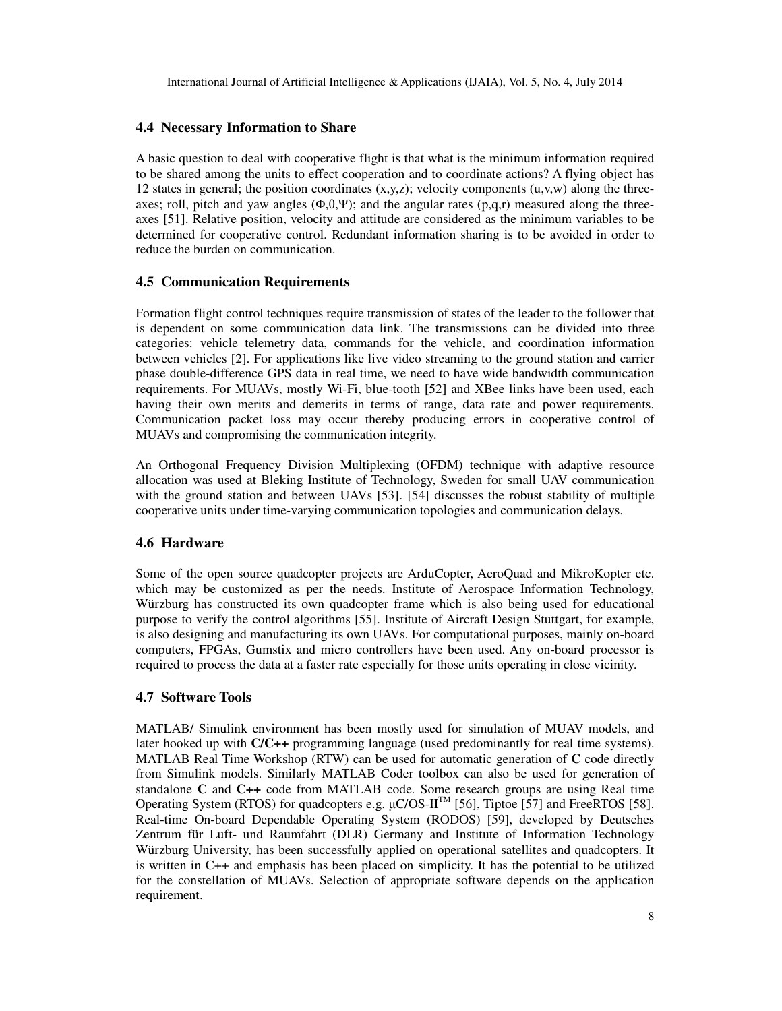#### **4.4 Necessary Information to Share**

A basic question to deal with cooperative flight is that what is the minimum information required to be shared among the units to effect cooperation and to coordinate actions? A flying object has 12 states in general; the position coordinates  $(x,y,z)$ ; velocity components  $(u,y,w)$  along the threeaxes; roll, pitch and yaw angles  $(\Phi, \theta, \Psi)$ ; and the angular rates  $(p,q,r)$  measured along the threeaxes [51]. Relative position, velocity and attitude are considered as the minimum variables to be determined for cooperative control. Redundant information sharing is to be avoided in order to reduce the burden on communication.

#### **4.5 Communication Requirements**

Formation flight control techniques require transmission of states of the leader to the follower that is dependent on some communication data link. The transmissions can be divided into three categories: vehicle telemetry data, commands for the vehicle, and coordination information between vehicles [2]. For applications like live video streaming to the ground station and carrier phase double-difference GPS data in real time, we need to have wide bandwidth communication requirements. For MUAVs, mostly Wi-Fi, blue-tooth [52] and XBee links have been used, each having their own merits and demerits in terms of range, data rate and power requirements. Communication packet loss may occur thereby producing errors in cooperative control of MUAVs and compromising the communication integrity.

An Orthogonal Frequency Division Multiplexing (OFDM) technique with adaptive resource allocation was used at Bleking Institute of Technology, Sweden for small UAV communication with the ground station and between UAVs [53]. [54] discusses the robust stability of multiple cooperative units under time-varying communication topologies and communication delays.

#### **4.6 Hardware**

Some of the open source quadcopter projects are ArduCopter, AeroQuad and MikroKopter etc. which may be customized as per the needs. Institute of Aerospace Information Technology, Würzburg has constructed its own quadcopter frame which is also being used for educational purpose to verify the control algorithms [55]. Institute of Aircraft Design Stuttgart, for example, is also designing and manufacturing its own UAVs. For computational purposes, mainly on-board computers, FPGAs, Gumstix and micro controllers have been used. Any on-board processor is required to process the data at a faster rate especially for those units operating in close vicinity.

#### **4.7 Software Tools**

MATLAB/ Simulink environment has been mostly used for simulation of MUAV models, and later hooked up with **C/C++** programming language (used predominantly for real time systems). MATLAB Real Time Workshop (RTW) can be used for automatic generation of **C** code directly from Simulink models. Similarly MATLAB Coder toolbox can also be used for generation of standalone **C** and **C++** code from MATLAB code. Some research groups are using Real time Operating System (RTOS) for quadcopters e.g.  $\mu$ C/OS-II<sup>TM</sup> [56], Tiptoe [57] and FreeRTOS [58]. Real-time On-board Dependable Operating System (RODOS) [59], developed by Deutsches Zentrum für Luft- und Raumfahrt (DLR) Germany and Institute of Information Technology Würzburg University, has been successfully applied on operational satellites and quadcopters. It is written in C++ and emphasis has been placed on simplicity. It has the potential to be utilized for the constellation of MUAVs. Selection of appropriate software depends on the application requirement.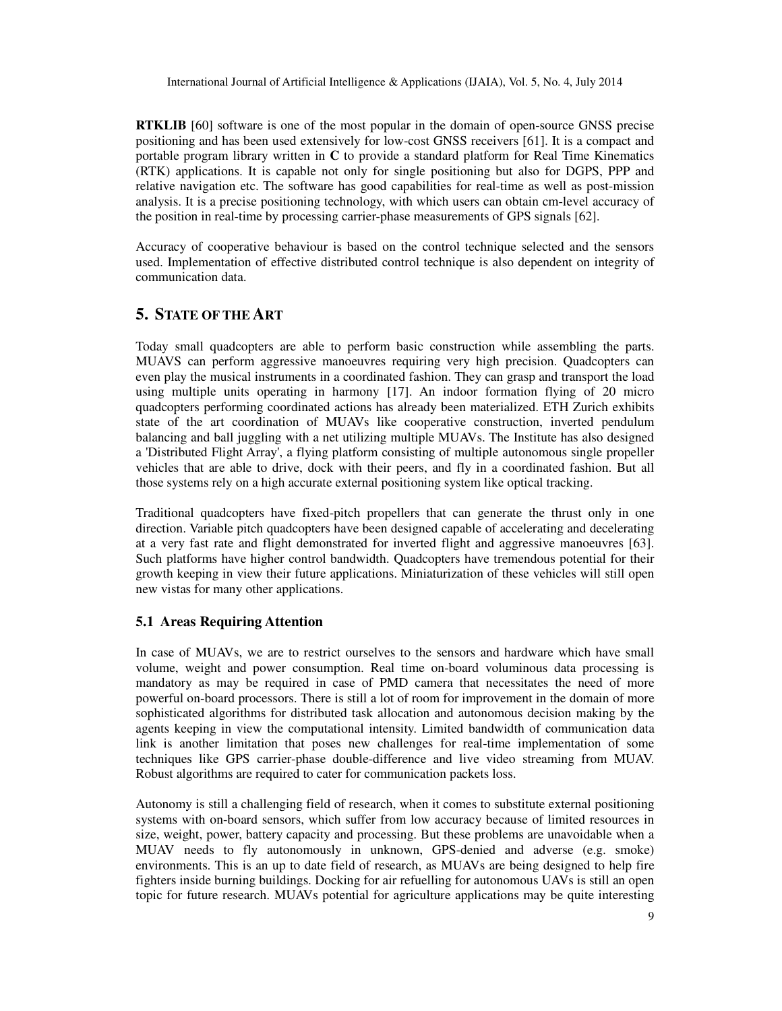**RTKLIB** [60] software is one of the most popular in the domain of open-source GNSS precise positioning and has been used extensively for low-cost GNSS receivers [61]. It is a compact and portable program library written in **C** to provide a standard platform for Real Time Kinematics (RTK) applications. It is capable not only for single positioning but also for DGPS, PPP and relative navigation etc. The software has good capabilities for real-time as well as post-mission analysis. It is a precise positioning technology, with which users can obtain cm-level accuracy of the position in real-time by processing carrier-phase measurements of GPS signals [62].

Accuracy of cooperative behaviour is based on the control technique selected and the sensors used. Implementation of effective distributed control technique is also dependent on integrity of communication data.

## **5. STATE OF THE ART**

Today small quadcopters are able to perform basic construction while assembling the parts. MUAVS can perform aggressive manoeuvres requiring very high precision. Quadcopters can even play the musical instruments in a coordinated fashion. They can grasp and transport the load using multiple units operating in harmony [17]. An indoor formation flying of 20 micro quadcopters performing coordinated actions has already been materialized. ETH Zurich exhibits state of the art coordination of MUAVs like cooperative construction, inverted pendulum balancing and ball juggling with a net utilizing multiple MUAVs. The Institute has also designed a 'Distributed Flight Array', a flying platform consisting of multiple autonomous single propeller vehicles that are able to drive, dock with their peers, and fly in a coordinated fashion. But all those systems rely on a high accurate external positioning system like optical tracking.

Traditional quadcopters have fixed-pitch propellers that can generate the thrust only in one direction. Variable pitch quadcopters have been designed capable of accelerating and decelerating at a very fast rate and flight demonstrated for inverted flight and aggressive manoeuvres [63]. Such platforms have higher control bandwidth. Quadcopters have tremendous potential for their growth keeping in view their future applications. Miniaturization of these vehicles will still open new vistas for many other applications.

## **5.1 Areas Requiring Attention**

In case of MUAVs, we are to restrict ourselves to the sensors and hardware which have small volume, weight and power consumption. Real time on-board voluminous data processing is mandatory as may be required in case of PMD camera that necessitates the need of more powerful on-board processors. There is still a lot of room for improvement in the domain of more sophisticated algorithms for distributed task allocation and autonomous decision making by the agents keeping in view the computational intensity. Limited bandwidth of communication data link is another limitation that poses new challenges for real-time implementation of some techniques like GPS carrier-phase double-difference and live video streaming from MUAV. Robust algorithms are required to cater for communication packets loss.

Autonomy is still a challenging field of research, when it comes to substitute external positioning systems with on-board sensors, which suffer from low accuracy because of limited resources in size, weight, power, battery capacity and processing. But these problems are unavoidable when a MUAV needs to fly autonomously in unknown, GPS-denied and adverse (e.g. smoke) environments. This is an up to date field of research, as MUAVs are being designed to help fire fighters inside burning buildings. Docking for air refuelling for autonomous UAVs is still an open topic for future research. MUAVs potential for agriculture applications may be quite interesting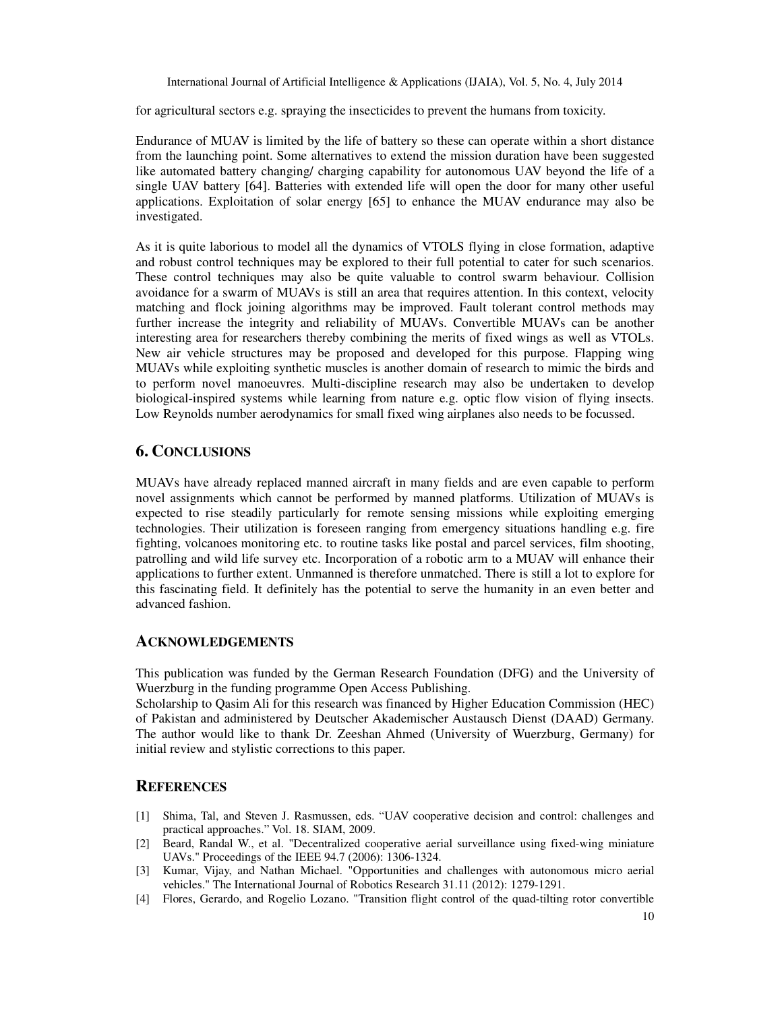for agricultural sectors e.g. spraying the insecticides to prevent the humans from toxicity.

Endurance of MUAV is limited by the life of battery so these can operate within a short distance from the launching point. Some alternatives to extend the mission duration have been suggested like automated battery changing/ charging capability for autonomous UAV beyond the life of a single UAV battery [64]. Batteries with extended life will open the door for many other useful applications. Exploitation of solar energy [65] to enhance the MUAV endurance may also be investigated.

As it is quite laborious to model all the dynamics of VTOLS flying in close formation, adaptive and robust control techniques may be explored to their full potential to cater for such scenarios. These control techniques may also be quite valuable to control swarm behaviour. Collision avoidance for a swarm of MUAVs is still an area that requires attention. In this context, velocity matching and flock joining algorithms may be improved. Fault tolerant control methods may further increase the integrity and reliability of MUAVs. Convertible MUAVs can be another interesting area for researchers thereby combining the merits of fixed wings as well as VTOLs. New air vehicle structures may be proposed and developed for this purpose. Flapping wing MUAVs while exploiting synthetic muscles is another domain of research to mimic the birds and to perform novel manoeuvres. Multi-discipline research may also be undertaken to develop biological-inspired systems while learning from nature e.g. optic flow vision of flying insects. Low Reynolds number aerodynamics for small fixed wing airplanes also needs to be focussed.

## **6. CONCLUSIONS**

MUAVs have already replaced manned aircraft in many fields and are even capable to perform novel assignments which cannot be performed by manned platforms. Utilization of MUAVs is expected to rise steadily particularly for remote sensing missions while exploiting emerging technologies. Their utilization is foreseen ranging from emergency situations handling e.g. fire fighting, volcanoes monitoring etc. to routine tasks like postal and parcel services, film shooting, patrolling and wild life survey etc. Incorporation of a robotic arm to a MUAV will enhance their applications to further extent. Unmanned is therefore unmatched. There is still a lot to explore for this fascinating field. It definitely has the potential to serve the humanity in an even better and advanced fashion.

## **ACKNOWLEDGEMENTS**

This publication was funded by the German Research Foundation (DFG) and the University of Wuerzburg in the funding programme Open Access Publishing.

Scholarship to Qasim Ali for this research was financed by Higher Education Commission (HEC) of Pakistan and administered by Deutscher Akademischer Austausch Dienst (DAAD) Germany. The author would like to thank Dr. Zeeshan Ahmed (University of Wuerzburg, Germany) for initial review and stylistic corrections to this paper.

## **REFERENCES**

- [1] Shima, Tal, and Steven J. Rasmussen, eds. "UAV cooperative decision and control: challenges and practical approaches." Vol. 18. SIAM, 2009.
- [2] Beard, Randal W., et al. "Decentralized cooperative aerial surveillance using fixed-wing miniature UAVs." Proceedings of the IEEE 94.7 (2006): 1306-1324.
- [3] Kumar, Vijay, and Nathan Michael. "Opportunities and challenges with autonomous micro aerial vehicles." The International Journal of Robotics Research 31.11 (2012): 1279-1291.
- [4] Flores, Gerardo, and Rogelio Lozano. "Transition flight control of the quad-tilting rotor convertible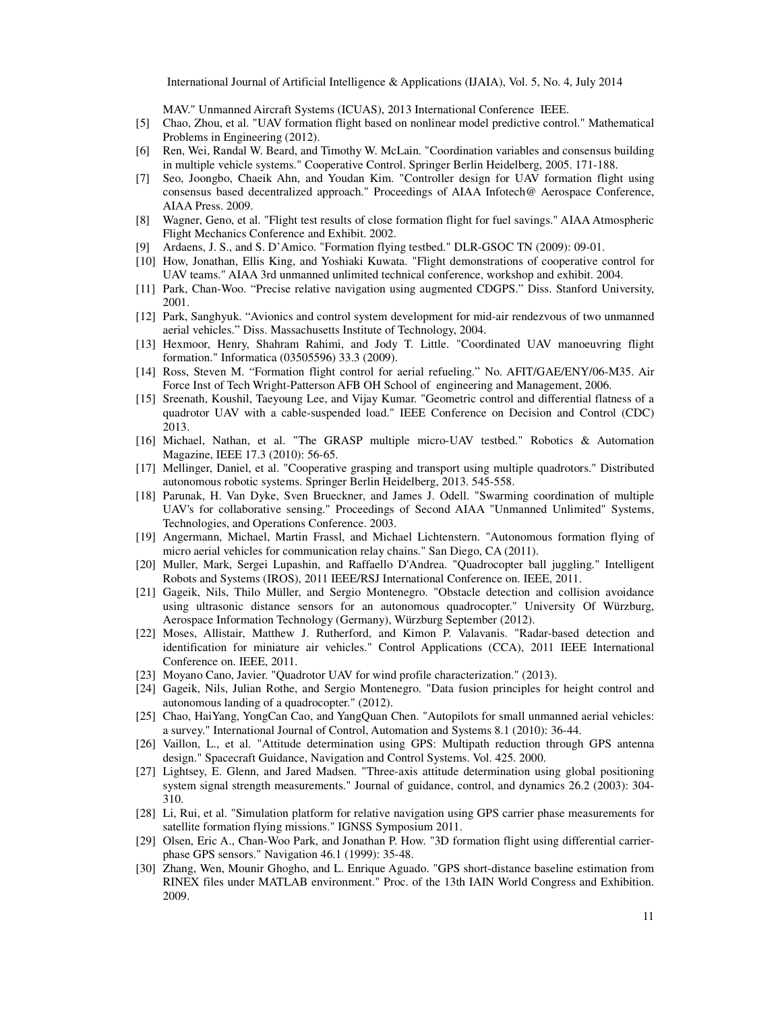MAV." Unmanned Aircraft Systems (ICUAS), 2013 International Conference IEEE.

- [5] Chao, Zhou, et al. "UAV formation flight based on nonlinear model predictive control." Mathematical Problems in Engineering (2012).
- [6] Ren, Wei, Randal W. Beard, and Timothy W. McLain. "Coordination variables and consensus building in multiple vehicle systems." Cooperative Control. Springer Berlin Heidelberg, 2005. 171-188.
- [7] Seo, Joongbo, Chaeik Ahn, and Youdan Kim. "Controller design for UAV formation flight using consensus based decentralized approach." Proceedings of AIAA Infotech@ Aerospace Conference, AIAA Press. 2009.
- [8] Wagner, Geno, et al. "Flight test results of close formation flight for fuel savings." AIAA Atmospheric Flight Mechanics Conference and Exhibit. 2002.
- [9] Ardaens, J. S., and S. D'Amico. "Formation flying testbed." DLR-GSOC TN (2009): 09-01.
- [10] How, Jonathan, Ellis King, and Yoshiaki Kuwata. "Flight demonstrations of cooperative control for UAV teams." AIAA 3rd unmanned unlimited technical conference, workshop and exhibit. 2004.
- [11] Park, Chan-Woo. "Precise relative navigation using augmented CDGPS." Diss. Stanford University, 2001.
- [12] Park, Sanghyuk. "Avionics and control system development for mid-air rendezvous of two unmanned aerial vehicles." Diss. Massachusetts Institute of Technology, 2004.
- [13] Hexmoor, Henry, Shahram Rahimi, and Jody T. Little. "Coordinated UAV manoeuvring flight formation." Informatica (03505596) 33.3 (2009).
- [14] Ross, Steven M. "Formation flight control for aerial refueling." No. AFIT/GAE/ENY/06-M35. Air Force Inst of Tech Wright-Patterson AFB OH School of engineering and Management, 2006.
- [15] Sreenath, Koushil, Taeyoung Lee, and Vijay Kumar. "Geometric control and differential flatness of a quadrotor UAV with a cable-suspended load." IEEE Conference on Decision and Control (CDC) 2013.
- [16] Michael, Nathan, et al. "The GRASP multiple micro-UAV testbed." Robotics & Automation Magazine, IEEE 17.3 (2010): 56-65.
- [17] Mellinger, Daniel, et al. "Cooperative grasping and transport using multiple quadrotors." Distributed autonomous robotic systems. Springer Berlin Heidelberg, 2013. 545-558.
- [18] Parunak, H. Van Dyke, Sven Brueckner, and James J. Odell. "Swarming coordination of multiple UAV's for collaborative sensing." Proceedings of Second AIAA "Unmanned Unlimited" Systems, Technologies, and Operations Conference. 2003.
- [19] Angermann, Michael, Martin Frassl, and Michael Lichtenstern. "Autonomous formation flying of micro aerial vehicles for communication relay chains." San Diego, CA (2011).
- [20] Muller, Mark, Sergei Lupashin, and Raffaello D'Andrea. "Quadrocopter ball juggling." Intelligent Robots and Systems (IROS), 2011 IEEE/RSJ International Conference on. IEEE, 2011.
- [21] Gageik, Nils, Thilo Müller, and Sergio Montenegro. "Obstacle detection and collision avoidance using ultrasonic distance sensors for an autonomous quadrocopter." University Of Würzburg, Aerospace Information Technology (Germany), Würzburg September (2012).
- [22] Moses, Allistair, Matthew J. Rutherford, and Kimon P. Valavanis. "Radar-based detection and identification for miniature air vehicles." Control Applications (CCA), 2011 IEEE International Conference on. IEEE, 2011.
- [23] Moyano Cano, Javier. "Quadrotor UAV for wind profile characterization." (2013).
- [24] Gageik, Nils, Julian Rothe, and Sergio Montenegro. "Data fusion principles for height control and autonomous landing of a quadrocopter." (2012).
- [25] Chao, HaiYang, YongCan Cao, and YangQuan Chen. "Autopilots for small unmanned aerial vehicles: a survey." International Journal of Control, Automation and Systems 8.1 (2010): 36-44.
- [26] Vaillon, L., et al. "Attitude determination using GPS: Multipath reduction through GPS antenna design." Spacecraft Guidance, Navigation and Control Systems. Vol. 425. 2000.
- [27] Lightsey, E. Glenn, and Jared Madsen. "Three-axis attitude determination using global positioning system signal strength measurements." Journal of guidance, control, and dynamics 26.2 (2003): 304- 310.
- [28] Li, Rui, et al. "Simulation platform for relative navigation using GPS carrier phase measurements for satellite formation flying missions." IGNSS Symposium 2011.
- [29] Olsen, Eric A., Chan-Woo Park, and Jonathan P. How. "3D formation flight using differential carrierphase GPS sensors." Navigation 46.1 (1999): 35-48.
- [30] Zhang, Wen, Mounir Ghogho, and L. Enrique Aguado. "GPS short-distance baseline estimation from RINEX files under MATLAB environment." Proc. of the 13th IAIN World Congress and Exhibition. 2009.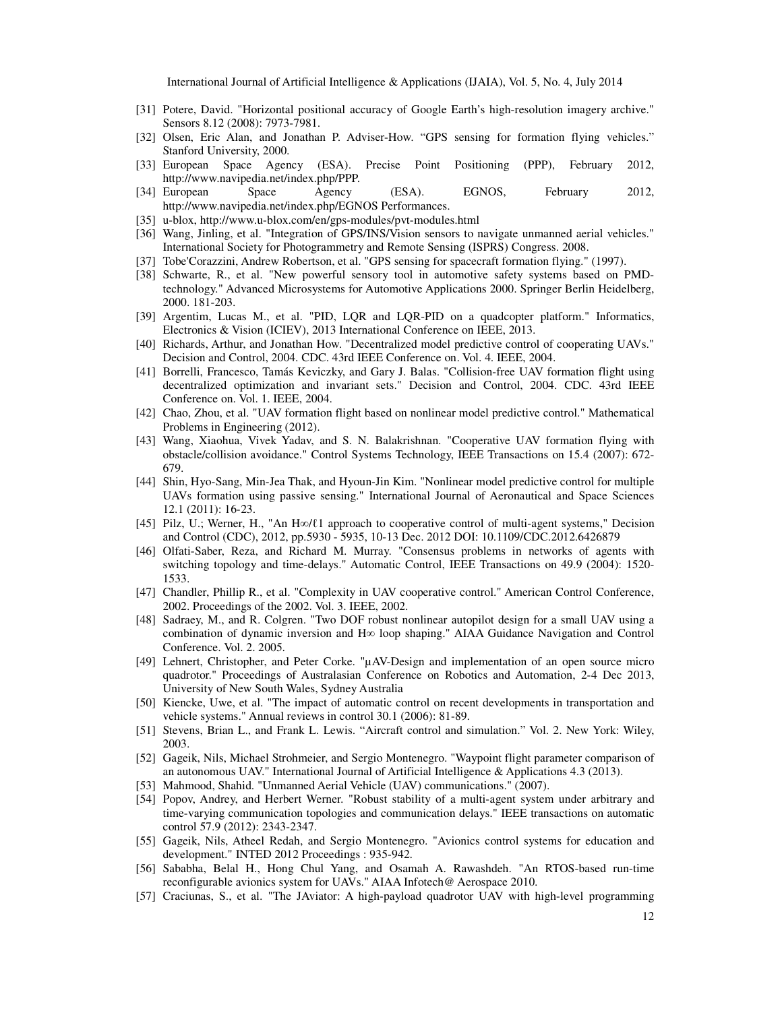- [31] Potere, David. "Horizontal positional accuracy of Google Earth's high-resolution imagery archive." Sensors 8.12 (2008): 7973-7981.
- [32] Olsen, Eric Alan, and Jonathan P. Adviser-How. "GPS sensing for formation flying vehicles." Stanford University, 2000.
- [33] European Space Agency (ESA). Precise Point Positioning (PPP), February 2012, http://www.navipedia.net/index.php/PPP.
- [34] European Space Agency (ESA). EGNOS, February 2012, http://www.navipedia.net/index.php/EGNOS Performances.
- [35] u-blox, http://www.u-blox.com/en/gps-modules/pvt-modules.html
- [36] Wang, Jinling, et al. "Integration of GPS/INS/Vision sensors to navigate unmanned aerial vehicles." International Society for Photogrammetry and Remote Sensing (ISPRS) Congress. 2008.
- [37] Tobe'Corazzini, Andrew Robertson, et al. "GPS sensing for spacecraft formation flying." (1997).
- [38] Schwarte, R., et al. "New powerful sensory tool in automotive safety systems based on PMDtechnology." Advanced Microsystems for Automotive Applications 2000. Springer Berlin Heidelberg, 2000. 181-203.
- [39] Argentim, Lucas M., et al. "PID, LQR and LQR-PID on a quadcopter platform." Informatics, Electronics & Vision (ICIEV), 2013 International Conference on IEEE, 2013.
- [40] Richards, Arthur, and Jonathan How. "Decentralized model predictive control of cooperating UAVs." Decision and Control, 2004. CDC. 43rd IEEE Conference on. Vol. 4. IEEE, 2004.
- [41] Borrelli, Francesco, Tamás Keviczky, and Gary J. Balas. "Collision-free UAV formation flight using decentralized optimization and invariant sets." Decision and Control, 2004. CDC. 43rd IEEE Conference on. Vol. 1. IEEE, 2004.
- [42] Chao, Zhou, et al. "UAV formation flight based on nonlinear model predictive control." Mathematical Problems in Engineering (2012).
- [43] Wang, Xiaohua, Vivek Yadav, and S. N. Balakrishnan. "Cooperative UAV formation flying with obstacle/collision avoidance." Control Systems Technology, IEEE Transactions on 15.4 (2007): 672- 679.
- [44] Shin, Hyo-Sang, Min-Jea Thak, and Hyoun-Jin Kim. "Nonlinear model predictive control for multiple UAVs formation using passive sensing." International Journal of Aeronautical and Space Sciences 12.1 (2011): 16-23.
- [45] Pilz, U.; Werner, H., "An H∞/ℓ1 approach to cooperative control of multi-agent systems," Decision and Control (CDC), 2012, pp.5930 - 5935, 10-13 Dec. 2012 DOI: 10.1109/CDC.2012.6426879
- [46] Olfati-Saber, Reza, and Richard M. Murray. "Consensus problems in networks of agents with switching topology and time-delays." Automatic Control, IEEE Transactions on 49.9 (2004): 1520- 1533.
- [47] Chandler, Phillip R., et al. "Complexity in UAV cooperative control." American Control Conference, 2002. Proceedings of the 2002. Vol. 3. IEEE, 2002.
- [48] Sadraey, M., and R. Colgren. "Two DOF robust nonlinear autopilot design for a small UAV using a combination of dynamic inversion and H∞ loop shaping." AIAA Guidance Navigation and Control Conference. Vol. 2. 2005.
- [49] Lehnert, Christopher, and Peter Corke. "µAV-Design and implementation of an open source micro quadrotor." Proceedings of Australasian Conference on Robotics and Automation, 2-4 Dec 2013, University of New South Wales, Sydney Australia
- [50] Kiencke, Uwe, et al. "The impact of automatic control on recent developments in transportation and vehicle systems." Annual reviews in control 30.1 (2006): 81-89.
- [51] Stevens, Brian L., and Frank L. Lewis. "Aircraft control and simulation." Vol. 2. New York: Wiley, 2003.
- [52] Gageik, Nils, Michael Strohmeier, and Sergio Montenegro. "Waypoint flight parameter comparison of an autonomous UAV." International Journal of Artificial Intelligence & Applications 4.3 (2013).
- [53] Mahmood, Shahid. "Unmanned Aerial Vehicle (UAV) communications." (2007).
- [54] Popov, Andrey, and Herbert Werner. "Robust stability of a multi-agent system under arbitrary and time-varying communication topologies and communication delays." IEEE transactions on automatic control 57.9 (2012): 2343-2347.
- [55] Gageik, Nils, Atheel Redah, and Sergio Montenegro. "Avionics control systems for education and development." INTED 2012 Proceedings : 935-942.
- [56] Sababha, Belal H., Hong Chul Yang, and Osamah A. Rawashdeh. "An RTOS-based run-time reconfigurable avionics system for UAVs." AIAA Infotech@ Aerospace 2010.
- [57] Craciunas, S., et al. "The JAviator: A high-payload quadrotor UAV with high-level programming